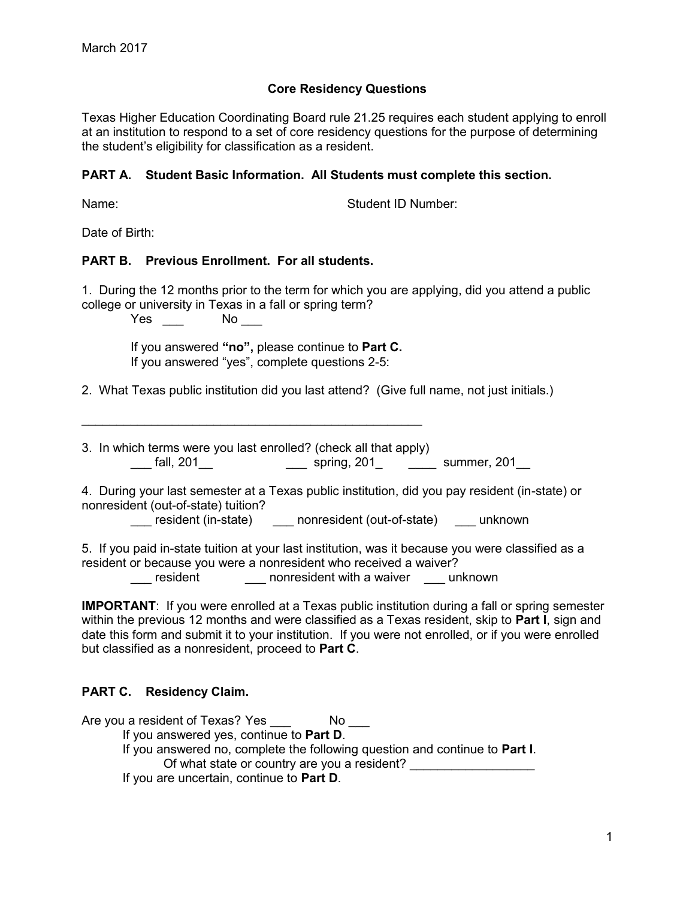## **Core Residency Questions**

Texas Higher Education Coordinating Board rule 21.25 requires each student applying to enroll at an institution to respond to a set of core residency questions for the purpose of determining the student's eligibility for classification as a resident.

## **PART A. Student Basic Information. All Students must complete this section.**

Name: Student ID Number:

Date of Birth:

### **PART B. Previous Enrollment. For all students.**

1. During the 12 months prior to the term for which you are applying, did you attend a public college or university in Texas in a fall or spring term?

Yes \_\_\_ No \_\_\_

If you answered **"no",** please continue to **Part C.** If you answered "yes", complete questions 2-5:

\_\_\_\_\_\_\_\_\_\_\_\_\_\_\_\_\_\_\_\_\_\_\_\_\_\_\_\_\_\_\_\_\_\_\_\_\_\_\_\_\_\_\_\_\_\_\_\_\_

2. What Texas public institution did you last attend? (Give full name, not just initials.)

3. In which terms were you last enrolled? (check all that apply) \_\_\_ fall, 201\_\_ \_\_\_\_\_\_\_\_\_\_\_\_\_\_\_\_\_\_\_\_\_\_ spring, 201\_\_\_\_\_\_\_\_\_\_\_\_\_\_\_\_\_\_ summer, 201\_\_

4. During your last semester at a Texas public institution, did you pay resident (in-state) or nonresident (out-of-state) tuition?

\_\_\_ resident (in-state) \_\_\_ nonresident (out-of-state) \_\_\_ unknown

5. If you paid in-state tuition at your last institution, was it because you were classified as a resident or because you were a nonresident who received a waiver?

\_\_\_ resident \_\_\_ nonresident with a waiver \_\_\_ unknown

**IMPORTANT:** If you were enrolled at a Texas public institution during a fall or spring semester within the previous 12 months and were classified as a Texas resident, skip to **Part I**, sign and date this form and submit it to your institution. If you were not enrolled, or if you were enrolled but classified as a nonresident, proceed to **Part C**.

# **PART C. Residency Claim.**

Are you a resident of Texas? Yes \_\_\_ No \_\_ If you answered yes, continue to **Part D**. If you answered no, complete the following question and continue to **Part I**. Of what state or country are you a resident? If you are uncertain, continue to **Part D**.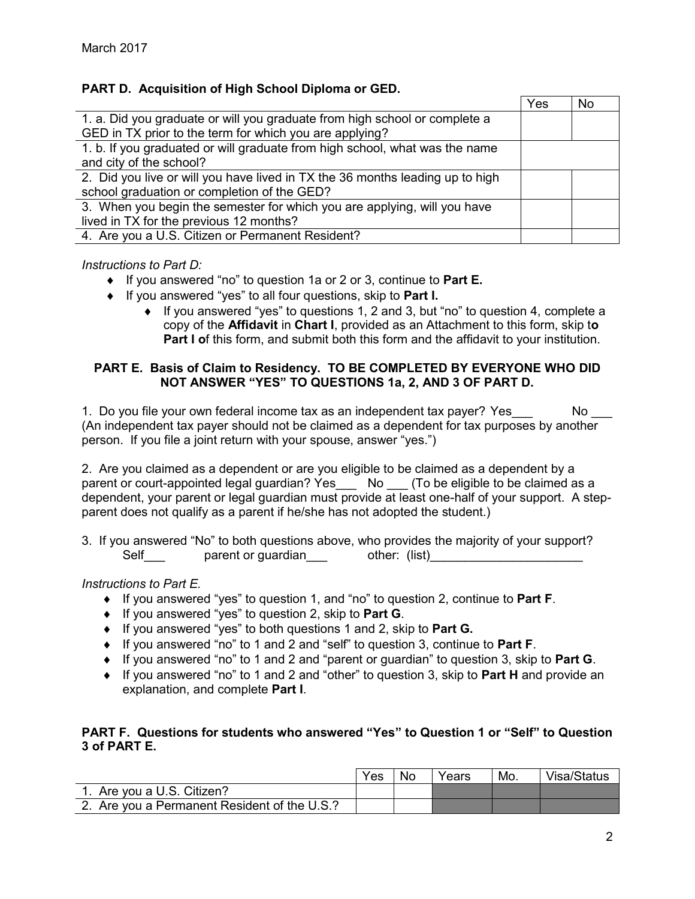## **PART D. Acquisition of High School Diploma or GED.**

|                                                                               | Yes | No |
|-------------------------------------------------------------------------------|-----|----|
| 1. a. Did you graduate or will you graduate from high school or complete a    |     |    |
| GED in TX prior to the term for which you are applying?                       |     |    |
| 1. b. If you graduated or will graduate from high school, what was the name   |     |    |
| and city of the school?                                                       |     |    |
| 2. Did you live or will you have lived in TX the 36 months leading up to high |     |    |
| school graduation or completion of the GED?                                   |     |    |
| 3. When you begin the semester for which you are applying, will you have      |     |    |
| lived in TX for the previous 12 months?                                       |     |    |
| 4. Are you a U.S. Citizen or Permanent Resident?                              |     |    |

#### *Instructions to Part D:*

- If you answered "no" to question 1a or 2 or 3, continue to **Part E.**
- If you answered "yes" to all four questions, skip to **Part I.**
	- If you answered "yes" to questions 1, 2 and 3, but "no" to question 4, complete a copy of the **Affidavit** in **Chart I**, provided as an Attachment to this form, skip t**o Part I o**f this form, and submit both this form and the affidavit to your institution.

#### **PART E. Basis of Claim to Residency. TO BE COMPLETED BY EVERYONE WHO DID NOT ANSWER "YES" TO QUESTIONS 1a, 2, AND 3 OF PART D.**

1. Do you file your own federal income tax as an independent tax payer? Yes No (An independent tax payer should not be claimed as a dependent for tax purposes by another person. If you file a joint return with your spouse, answer "yes.")

2. Are you claimed as a dependent or are you eligible to be claimed as a dependent by a parent or court-appointed legal guardian? Yes\_\_\_ No \_\_ (To be eligible to be claimed as a dependent, your parent or legal guardian must provide at least one-half of your support. A stepparent does not qualify as a parent if he/she has not adopted the student.)

3. If you answered "No" to both questions above, who provides the majority of your support? Self example parent or guardian and other: (list)

## *Instructions to Part E.*

- If you answered "yes" to question 1, and "no" to question 2, continue to **Part F**.
- If you answered "yes" to question 2, skip to **Part G**.
- If you answered "yes" to both questions 1 and 2, skip to **Part G.**
- If you answered "no" to 1 and 2 and "self" to question 3, continue to **Part F**.
- If you answered "no" to 1 and 2 and "parent or guardian" to question 3, skip to **Part G**.
- If you answered "no" to 1 and 2 and "other" to question 3, skip to **Part H** and provide an explanation, and complete **Part I**.

#### **PART F. Questions for students who answered "Yes" to Question 1 or "Self" to Question 3 of PART E.**

|                                              | Yes | No | Years | Mo. | Visa/Status |
|----------------------------------------------|-----|----|-------|-----|-------------|
| 1. Are you a U.S. Citizen?                   |     |    |       |     |             |
| 2. Are you a Permanent Resident of the U.S.? |     |    |       |     |             |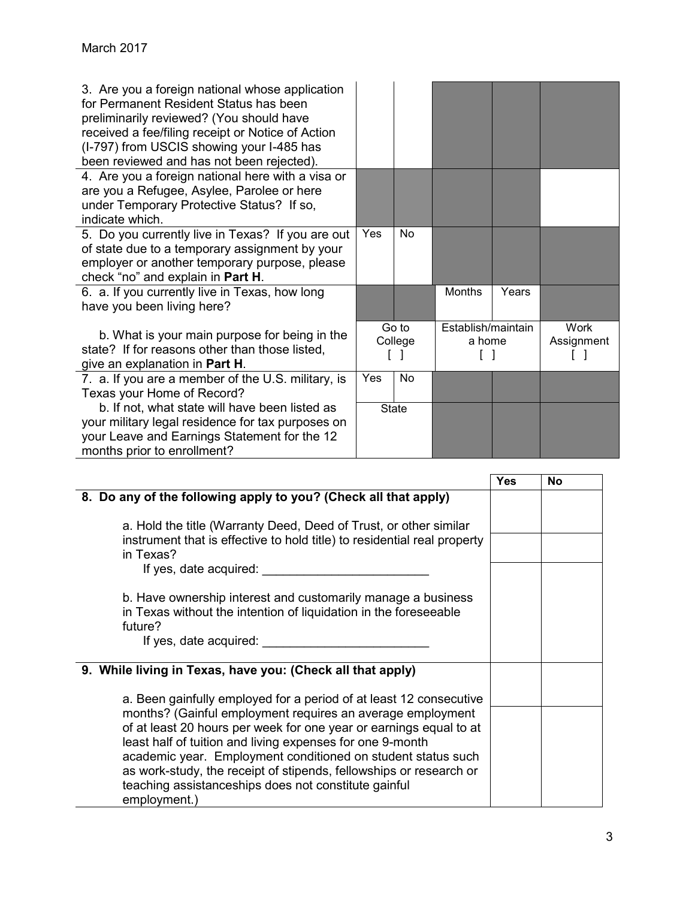| 3. Are you a foreign national whose application<br>for Permanent Resident Status has been<br>preliminarily reviewed? (You should have<br>received a fee/filing receipt or Notice of Action<br>(I-797) from USCIS showing your I-485 has<br>been reviewed and has not been rejected). |     |                  |                              |       |                    |
|--------------------------------------------------------------------------------------------------------------------------------------------------------------------------------------------------------------------------------------------------------------------------------------|-----|------------------|------------------------------|-------|--------------------|
| 4. Are you a foreign national here with a visa or<br>are you a Refugee, Asylee, Parolee or here<br>under Temporary Protective Status? If so,<br>indicate which.                                                                                                                      |     |                  |                              |       |                    |
| 5. Do you currently live in Texas? If you are out<br>of state due to a temporary assignment by your<br>employer or another temporary purpose, please<br>check "no" and explain in Part H.                                                                                            | Yes | <b>No</b>        |                              |       |                    |
| 6. a. If you currently live in Texas, how long<br>have you been living here?                                                                                                                                                                                                         |     |                  | <b>Months</b>                | Years |                    |
| b. What is your main purpose for being in the<br>state? If for reasons other than those listed,<br>give an explanation in Part H.                                                                                                                                                    |     | Go to<br>College | Establish/maintain<br>a home |       | Work<br>Assignment |
| 7. a. If you are a member of the U.S. military, is<br>Texas your Home of Record?                                                                                                                                                                                                     | Yes | <b>No</b>        |                              |       |                    |
| b. If not, what state will have been listed as<br>your military legal residence for tax purposes on<br>your Leave and Earnings Statement for the 12<br>months prior to enrollment?                                                                                                   |     | <b>State</b>     |                              |       |                    |

|                                                                                                                                                                                                                                                                                                                                                                                                                                                                                   | <b>Yes</b> | No |
|-----------------------------------------------------------------------------------------------------------------------------------------------------------------------------------------------------------------------------------------------------------------------------------------------------------------------------------------------------------------------------------------------------------------------------------------------------------------------------------|------------|----|
| 8. Do any of the following apply to you? (Check all that apply)                                                                                                                                                                                                                                                                                                                                                                                                                   |            |    |
| a. Hold the title (Warranty Deed, Deed of Trust, or other similar<br>instrument that is effective to hold title) to residential real property<br>in Texas?<br>If yes, date acquired:                                                                                                                                                                                                                                                                                              |            |    |
| b. Have ownership interest and customarily manage a business<br>in Texas without the intention of liquidation in the foreseeable<br>future?<br>If yes, date acquired:                                                                                                                                                                                                                                                                                                             |            |    |
| 9. While living in Texas, have you: (Check all that apply)                                                                                                                                                                                                                                                                                                                                                                                                                        |            |    |
| a. Been gainfully employed for a period of at least 12 consecutive<br>months? (Gainful employment requires an average employment<br>of at least 20 hours per week for one year or earnings equal to at<br>least half of tuition and living expenses for one 9-month<br>academic year. Employment conditioned on student status such<br>as work-study, the receipt of stipends, fellowships or research or<br>teaching assistanceships does not constitute gainful<br>employment.) |            |    |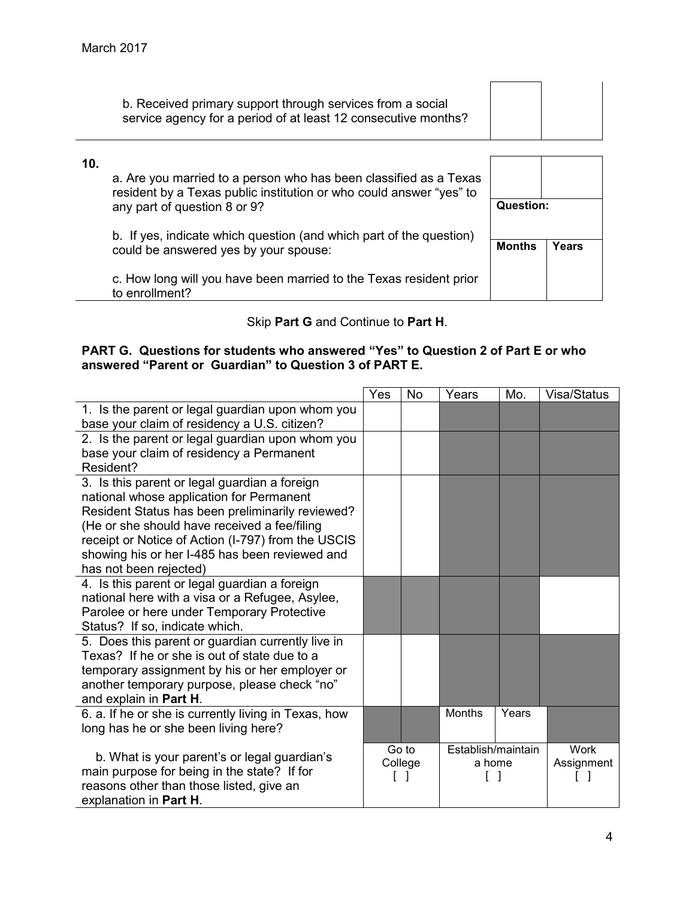| b. Received primary support through services from a social     |  |
|----------------------------------------------------------------|--|
| service agency for a period of at least 12 consecutive months? |  |
|                                                                |  |

### **10.**

a. Are you married to a person who has been classified as a Texas resident by a Texas public institution or who could answer "yes" to any part of question 8 or 9?

b. If yes, indicate which question (and which part of the question) could be answered yes by your spouse:

c. How long will you have been married to the Texas resident prior to enrollment?

| Question:     |       |
|---------------|-------|
| <b>Months</b> | Years |

## Skip **Part G** and Continue to **Part H**.

### **PART G. Questions for students who answered "Yes" to Question 2 of Part E or who answered "Parent or Guardian" to Question 3 of PART E.**

|                                                                                                  | Yes | <b>No</b> | Years              | Mo.   | <b>Visa/Status</b> |
|--------------------------------------------------------------------------------------------------|-----|-----------|--------------------|-------|--------------------|
| 1. Is the parent or legal guardian upon whom you<br>base your claim of residency a U.S. citizen? |     |           |                    |       |                    |
| 2. Is the parent or legal guardian upon whom you                                                 |     |           |                    |       |                    |
| base your claim of residency a Permanent                                                         |     |           |                    |       |                    |
| Resident?<br>3. Is this parent or legal guardian a foreign                                       |     |           |                    |       |                    |
| national whose application for Permanent                                                         |     |           |                    |       |                    |
| Resident Status has been preliminarily reviewed?                                                 |     |           |                    |       |                    |
| (He or she should have received a fee/filing                                                     |     |           |                    |       |                    |
| receipt or Notice of Action (I-797) from the USCIS                                               |     |           |                    |       |                    |
| showing his or her I-485 has been reviewed and                                                   |     |           |                    |       |                    |
| has not been rejected)                                                                           |     |           |                    |       |                    |
| 4. Is this parent or legal guardian a foreign                                                    |     |           |                    |       |                    |
| national here with a visa or a Refugee, Asylee,                                                  |     |           |                    |       |                    |
| Parolee or here under Temporary Protective<br>Status? If so, indicate which.                     |     |           |                    |       |                    |
| 5. Does this parent or guardian currently live in                                                |     |           |                    |       |                    |
| Texas? If he or she is out of state due to a                                                     |     |           |                    |       |                    |
| temporary assignment by his or her employer or                                                   |     |           |                    |       |                    |
| another temporary purpose, please check "no"                                                     |     |           |                    |       |                    |
| and explain in Part H.                                                                           |     |           |                    |       |                    |
| 6. a. If he or she is currently living in Texas, how                                             |     |           | <b>Months</b>      | Years |                    |
| long has he or she been living here?                                                             |     |           |                    |       |                    |
| b. What is your parent's or legal guardian's                                                     |     | Go to     | Establish/maintain |       | <b>Work</b>        |
| main purpose for being in the state? If for                                                      |     | College   | a home             |       | Assignment         |
| reasons other than those listed, give an                                                         |     |           |                    |       |                    |
| explanation in Part H.                                                                           |     |           |                    |       |                    |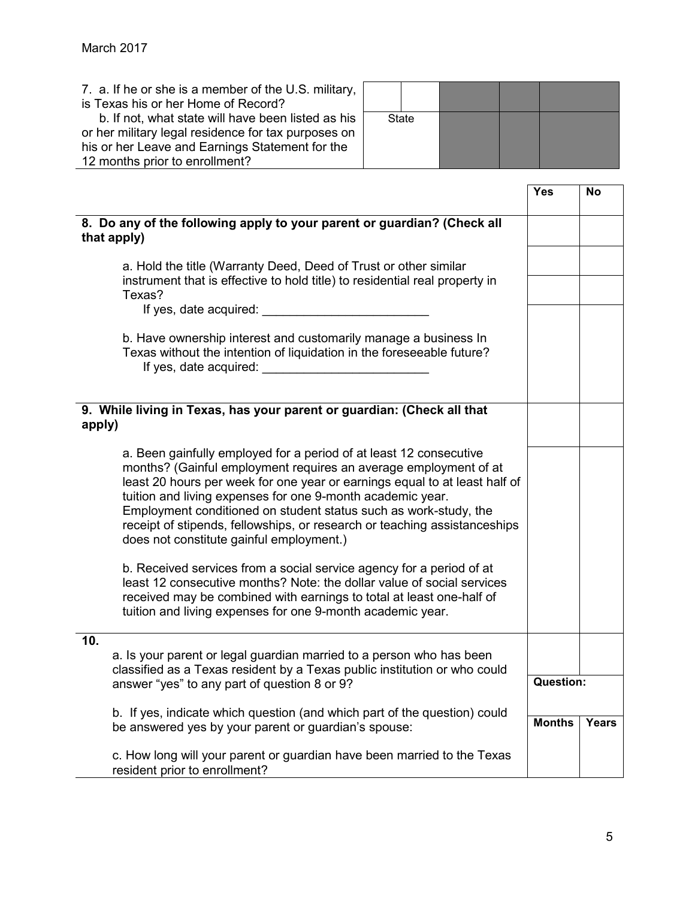| 7. a. If he or she is a member of the U.S. military,<br>is Texas his or her Home of Record?<br>b. If not, what state will have been listed as his<br><b>State</b><br>or her military legal residence for tax purposes on<br>his or her Leave and Earnings Statement for the<br>12 months prior to enrollment?                                                                                                                                                                   |                  |           |
|---------------------------------------------------------------------------------------------------------------------------------------------------------------------------------------------------------------------------------------------------------------------------------------------------------------------------------------------------------------------------------------------------------------------------------------------------------------------------------|------------------|-----------|
|                                                                                                                                                                                                                                                                                                                                                                                                                                                                                 | <b>Yes</b>       | <b>No</b> |
| 8. Do any of the following apply to your parent or guardian? (Check all<br>that apply)                                                                                                                                                                                                                                                                                                                                                                                          |                  |           |
| a. Hold the title (Warranty Deed, Deed of Trust or other similar<br>instrument that is effective to hold title) to residential real property in<br>Texas?<br>If yes, date acquired:                                                                                                                                                                                                                                                                                             |                  |           |
| b. Have ownership interest and customarily manage a business In<br>Texas without the intention of liquidation in the foreseeable future?<br>If yes, date acquired:                                                                                                                                                                                                                                                                                                              |                  |           |
| 9. While living in Texas, has your parent or guardian: (Check all that<br>apply)                                                                                                                                                                                                                                                                                                                                                                                                |                  |           |
| a. Been gainfully employed for a period of at least 12 consecutive<br>months? (Gainful employment requires an average employment of at<br>least 20 hours per week for one year or earnings equal to at least half of<br>tuition and living expenses for one 9-month academic year.<br>Employment conditioned on student status such as work-study, the<br>receipt of stipends, fellowships, or research or teaching assistanceships<br>does not constitute gainful employment.) |                  |           |
| b. Received services from a social service agency for a period of at<br>least 12 consecutive months? Note: the dollar value of social services<br>received may be combined with earnings to total at least one-half of<br>tuition and living expenses for one 9-month academic year.                                                                                                                                                                                            |                  |           |
| 10.<br>a. Is your parent or legal guardian married to a person who has been<br>classified as a Texas resident by a Texas public institution or who could                                                                                                                                                                                                                                                                                                                        |                  |           |
| answer "yes" to any part of question 8 or 9?                                                                                                                                                                                                                                                                                                                                                                                                                                    | <b>Question:</b> |           |
| b. If yes, indicate which question (and which part of the question) could<br>be answered yes by your parent or guardian's spouse:                                                                                                                                                                                                                                                                                                                                               | <b>Months</b>    | Years     |
| c. How long will your parent or guardian have been married to the Texas<br>resident prior to enrollment?                                                                                                                                                                                                                                                                                                                                                                        |                  |           |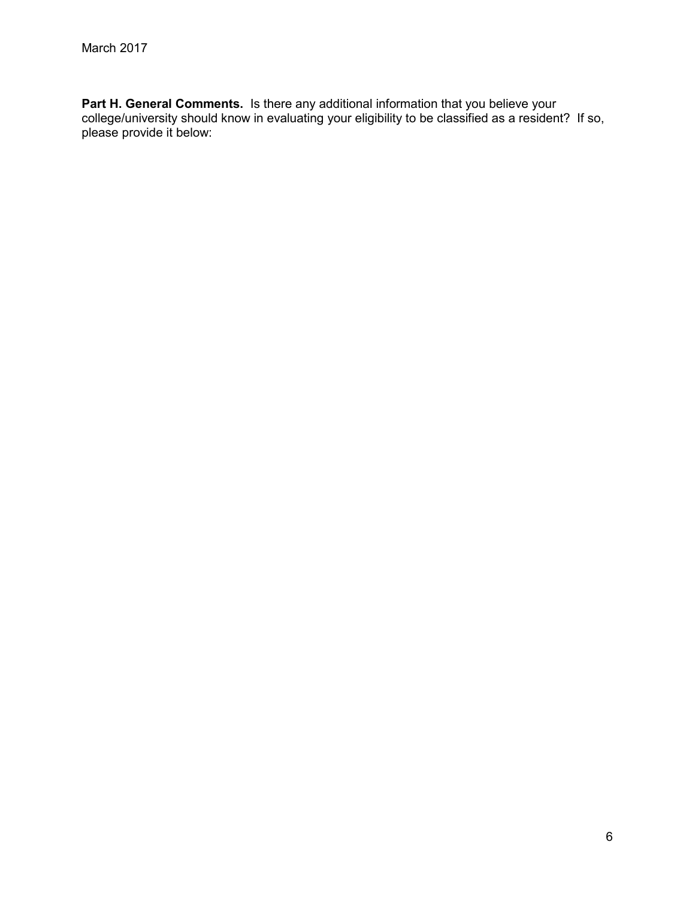**Part H. General Comments.** Is there any additional information that you believe your college/university should know in evaluating your eligibility to be classified as a resident? If so, please provide it below: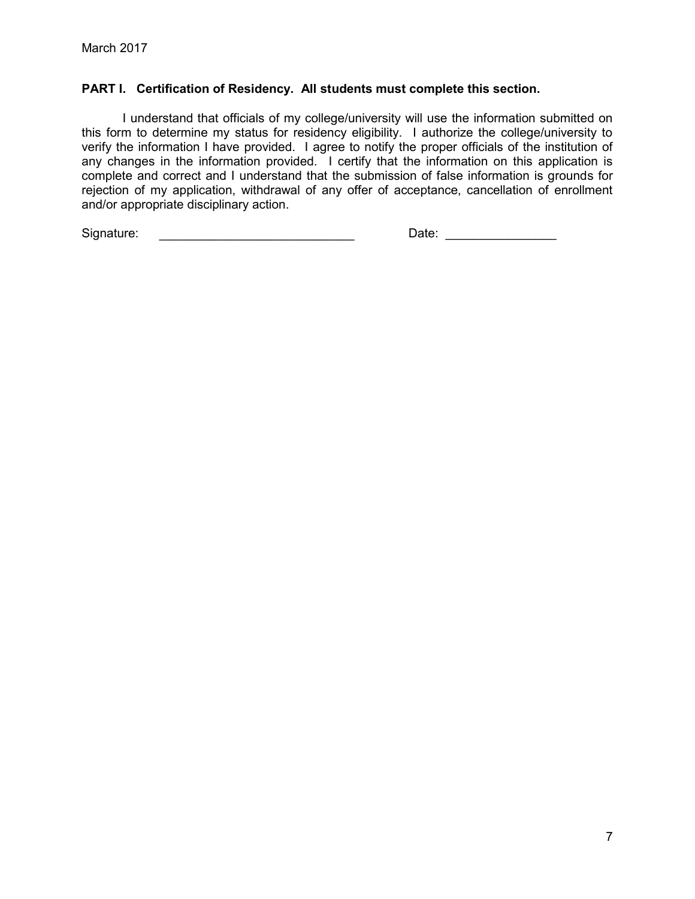#### **PART I. Certification of Residency. All students must complete this section.**

I understand that officials of my college/university will use the information submitted on this form to determine my status for residency eligibility. I authorize the college/university to verify the information I have provided. I agree to notify the proper officials of the institution of any changes in the information provided. I certify that the information on this application is complete and correct and I understand that the submission of false information is grounds for rejection of my application, withdrawal of any offer of acceptance, cancellation of enrollment and/or appropriate disciplinary action.

Signature: \_\_\_\_\_\_\_\_\_\_\_\_\_\_\_\_\_\_\_\_\_\_\_\_\_\_\_\_ Date: \_\_\_\_\_\_\_\_\_\_\_\_\_\_\_\_